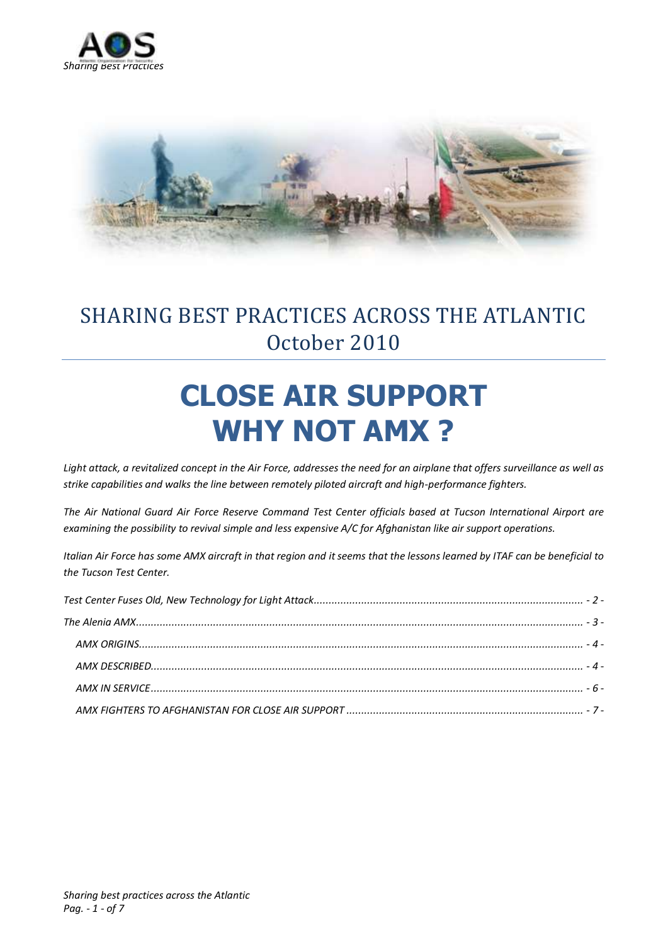



# SHARING BEST PRACTICES ACROSS THE ATLANTIC October 2010

# **CLOSE AIR SUPPORT WHY NOT AMX ?**

*Light attack, a revitalized concept in the Air Force, addresses the need for an airplane that offers surveillance as well as strike capabilities and walks the line between remotely piloted aircraft and high-performance fighters.*

*The Air National Guard Air Force Reserve Command Test Center officials based at Tucson International Airport are examining the possibility to revival simple and less expensive A/C for Afghanistan like air support operations.*

*Italian Air Force has some AMX aircraft in that region and it seems that the lessons learned by ITAF can be beneficial to the Tucson Test Center.*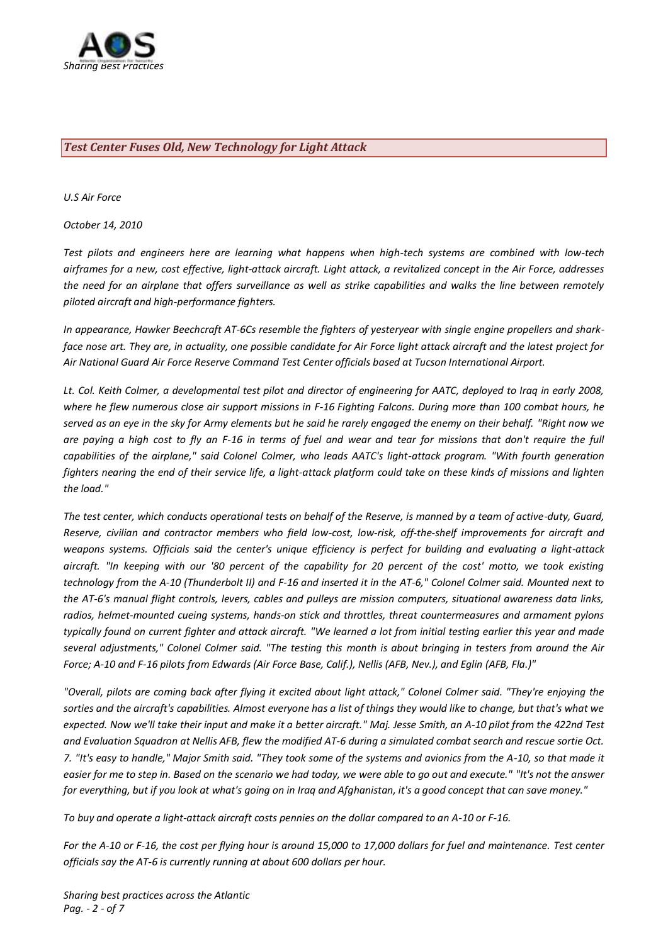

#### <span id="page-1-0"></span>*Test Center Fuses Old, New Technology for Light Attack*

*U.S Air Force*

*October 14, 2010*

*Test pilots and engineers here are learning what happens when high-tech systems are combined with low-tech airframes for a new, cost effective, light-attack aircraft. Light attack, a revitalized concept in the Air Force, addresses the need for an airplane that offers surveillance as well as strike capabilities and walks the line between remotely piloted aircraft and high-performance fighters.*

*In appearance, Hawker Beechcraft AT-6Cs resemble the fighters of yesteryear with single engine propellers and sharkface nose art. They are, in actuality, one possible candidate for Air Force light attack aircraft and the latest project for Air National Guard Air Force Reserve Command Test Center officials based at Tucson International Airport.*

*Lt. Col. Keith Colmer, a developmental test pilot and director of engineering for AATC, deployed to Iraq in early 2008, where he flew numerous close air support missions in F-16 Fighting Falcons. During more than 100 combat hours, he served as an eye in the sky for Army elements but he said he rarely engaged the enemy on their behalf. "Right now we are paying a high cost to fly an F-16 in terms of fuel and wear and tear for missions that don't require the full capabilities of the airplane," said Colonel Colmer, who leads AATC's light-attack program. "With fourth generation fighters nearing the end of their service life, a light-attack platform could take on these kinds of missions and lighten the load."*

*The test center, which conducts operational tests on behalf of the Reserve, is manned by a team of active-duty, Guard, Reserve, civilian and contractor members who field low-cost, low-risk, off-the-shelf improvements for aircraft and weapons systems. Officials said the center's unique efficiency is perfect for building and evaluating a light-attack aircraft. "In keeping with our '80 percent of the capability for 20 percent of the cost' motto, we took existing technology from the A-10 (Thunderbolt II) and F-16 and inserted it in the AT-6," Colonel Colmer said. Mounted next to the AT-6's manual flight controls, levers, cables and pulleys are mission computers, situational awareness data links, radios, helmet-mounted cueing systems, hands-on stick and throttles, threat countermeasures and armament pylons typically found on current fighter and attack aircraft. "We learned a lot from initial testing earlier this year and made several adjustments," Colonel Colmer said. "The testing this month is about bringing in testers from around the Air Force; A-10 and F-16 pilots from Edwards (Air Force Base, Calif.), Nellis (AFB, Nev.), and Eglin (AFB, Fla.)"*

*"Overall, pilots are coming back after flying it excited about light attack," Colonel Colmer said. "They're enjoying the sorties and the aircraft's capabilities. Almost everyone has a list of things they would like to change, but that's what we expected. Now we'll take their input and make it a better aircraft." Maj. Jesse Smith, an A-10 pilot from the 422nd Test and Evaluation Squadron at Nellis AFB, flew the modified AT-6 during a simulated combat search and rescue sortie Oct. 7. "It's easy to handle," Major Smith said. "They took some of the systems and avionics from the A-10, so that made it easier for me to step in. Based on the scenario we had today, we were able to go out and execute." "It's not the answer for everything, but if you look at what's going on in Iraq and Afghanistan, it's a good concept that can save money."*

*To buy and operate a light-attack aircraft costs pennies on the dollar compared to an A-10 or F-16.*

*For the A-10 or F-16, the cost per flying hour is around 15,000 to 17,000 dollars for fuel and maintenance. Test center officials say the AT-6 is currently running at about 600 dollars per hour.*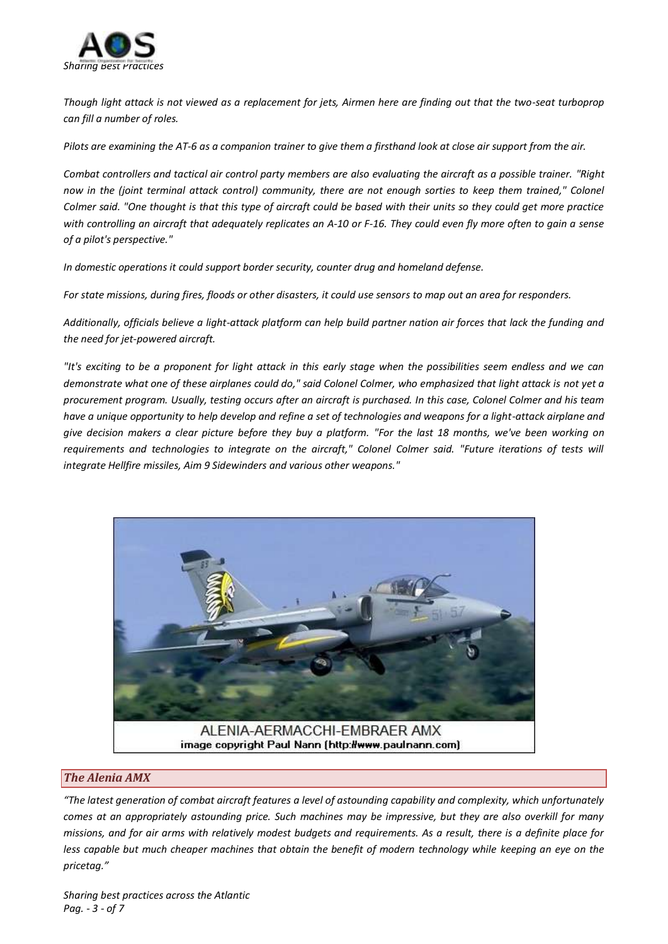

*Though light attack is not viewed as a replacement for jets, Airmen here are finding out that the two-seat turboprop can fill a number of roles.*

*Pilots are examining the AT-6 as a companion trainer to give them a firsthand look at close air support from the air.*

*Combat controllers and tactical air control party members are also evaluating the aircraft as a possible trainer. "Right*  now in the (joint terminal attack control) community, there are not enough sorties to keep them trained," Colonel *Colmer said. "One thought is that this type of aircraft could be based with their units so they could get more practice with controlling an aircraft that adequately replicates an A-10 or F-16. They could even fly more often to gain a sense of a pilot's perspective."*

*In domestic operations it could support border security, counter drug and homeland defense.*

*For state missions, during fires, floods or other disasters, it could use sensors to map out an area for responders.*

*Additionally, officials believe a light-attack platform can help build partner nation air forces that lack the funding and the need for jet-powered aircraft.*

*"It's exciting to be a proponent for light attack in this early stage when the possibilities seem endless and we can demonstrate what one of these airplanes could do," said Colonel Colmer, who emphasized that light attack is not yet a procurement program. Usually, testing occurs after an aircraft is purchased. In this case, Colonel Colmer and his team have a unique opportunity to help develop and refine a set of technologies and weapons for a light-attack airplane and give decision makers a clear picture before they buy a platform. "For the last 18 months, we've been working on requirements and technologies to integrate on the aircraft," Colonel Colmer said. "Future iterations of tests will integrate Hellfire missiles, Aim 9 Sidewinders and various other weapons."*



## <span id="page-2-0"></span>*The Alenia AMX*

*"The latest generation of combat aircraft features a level of astounding capability and complexity, which unfortunately comes at an appropriately astounding price. Such machines may be impressive, but they are also overkill for many missions, and for air arms with relatively modest budgets and requirements. As a result, there is a definite place for less capable but much cheaper machines that obtain the benefit of modern technology while keeping an eye on the pricetag."*

*Sharing best practices across the Atlantic Pag. - 3 - of 7*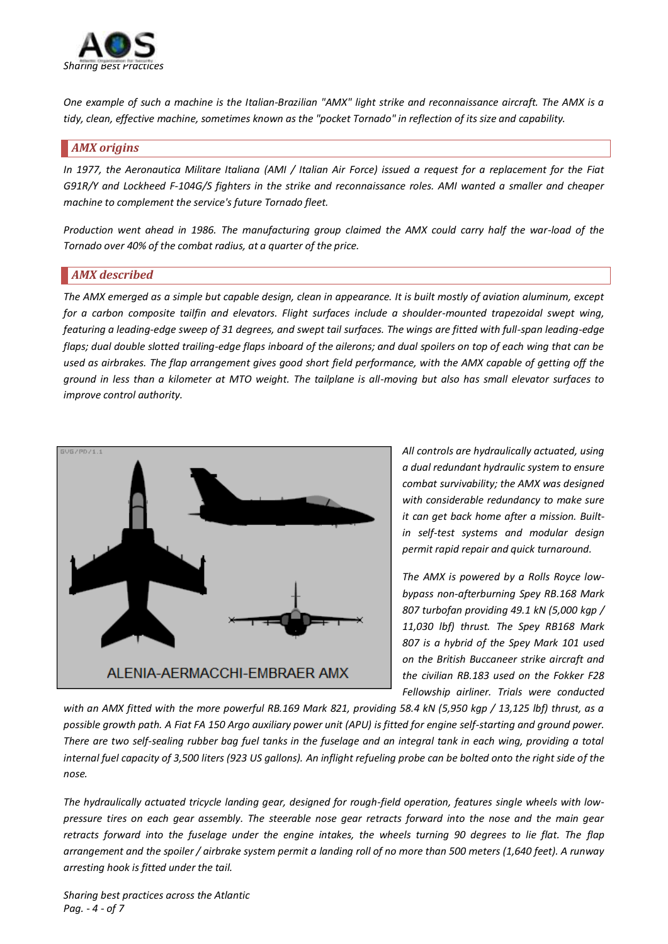

*One example of such a machine is the Italian-Brazilian "AMX" light strike and reconnaissance aircraft. The AMX is a tidy, clean, effective machine, sometimes known as the "pocket Tornado" in reflection of its size and capability.* 

#### <span id="page-3-0"></span>*AMX origins*

*In 1977, the Aeronautica Militare Italiana (AMI / Italian Air Force) issued a request for a replacement for the Fiat G91R/Y and Lockheed F-104G/S fighters in the strike and reconnaissance roles. AMI wanted a smaller and cheaper machine to complement the service's future Tornado fleet.* 

*Production went ahead in 1986. The manufacturing group claimed the AMX could carry half the war-load of the Tornado over 40% of the combat radius, at a quarter of the price.*

#### <span id="page-3-1"></span>*AMX described*

*The AMX emerged as a simple but capable design, clean in appearance. It is built mostly of aviation aluminum, except for a carbon composite tailfin and elevators. Flight surfaces include a shoulder-mounted trapezoidal swept wing, featuring a leading-edge sweep of 31 degrees, and swept tail surfaces. The wings are fitted with full-span leading-edge flaps; dual double slotted trailing-edge flaps inboard of the ailerons; and dual spoilers on top of each wing that can be used as airbrakes. The flap arrangement gives good short field performance, with the AMX capable of getting off the ground in less than a kilometer at MTO weight. The tailplane is all-moving but also has small elevator surfaces to improve control authority.* 



*All controls are hydraulically actuated, using a dual redundant hydraulic system to ensure combat survivability; the AMX was designed with considerable redundancy to make sure it can get back home after a mission. Builtin self-test systems and modular design permit rapid repair and quick turnaround.* 

*The AMX is powered by a Rolls Royce lowbypass non-afterburning Spey RB.168 Mark 807 turbofan providing 49.1 kN (5,000 kgp / 11,030 lbf) thrust. The Spey RB168 Mark 807 is a hybrid of the Spey Mark 101 used on the British Buccaneer strike aircraft and the civilian RB.183 used on the Fokker F28 Fellowship airliner. Trials were conducted*

*with an AMX fitted with the more powerful RB.169 Mark 821, providing 58.4 kN (5,950 kgp / 13,125 lbf) thrust, as a possible growth path. A Fiat FA 150 Argo auxiliary power unit (APU) is fitted for engine self-starting and ground power. There are two self-sealing rubber bag fuel tanks in the fuselage and an integral tank in each wing, providing a total internal fuel capacity of 3,500 liters (923 US gallons). An inflight refueling probe can be bolted onto the right side of the nose.* 

*The hydraulically actuated tricycle landing gear, designed for rough-field operation, features single wheels with lowpressure tires on each gear assembly. The steerable nose gear retracts forward into the nose and the main gear retracts forward into the fuselage under the engine intakes, the wheels turning 90 degrees to lie flat. The flap arrangement and the spoiler / airbrake system permit a landing roll of no more than 500 meters (1,640 feet). A runway arresting hook is fitted under the tail.* 

*Sharing best practices across the Atlantic Pag. - 4 - of 7*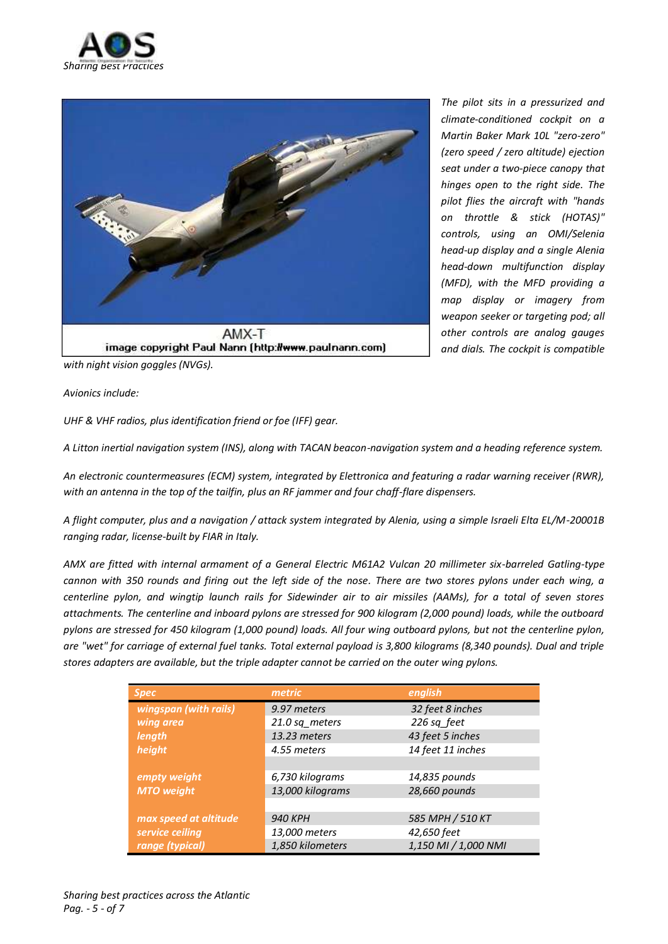



*The pilot sits in a pressurized and climate-conditioned cockpit on a Martin Baker Mark 10L "zero-zero" (zero speed / zero altitude) ejection seat under a two-piece canopy that hinges open to the right side. The pilot flies the aircraft with "hands on throttle & stick (HOTAS)" controls, using an OMI/Selenia head-up display and a single Alenia head-down multifunction display (MFD), with the MFD providing a map display or imagery from weapon seeker or targeting pod; all other controls are analog gauges and dials. The cockpit is compatible* 

*with night vision goggles (NVGs).* 

*Avionics include:* 

*UHF & VHF radios, plus identification friend or foe (IFF) gear.* 

*A Litton inertial navigation system (INS), along with TACAN beacon-navigation system and a heading reference system.* 

*An electronic countermeasures (ECM) system, integrated by Elettronica and featuring a radar warning receiver (RWR), with an antenna in the top of the tailfin, plus an RF jammer and four chaff-flare dispensers.* 

*A flight computer, plus and a navigation / attack system integrated by Alenia, using a simple Israeli Elta EL/M-20001B ranging radar, license-built by FIAR in Italy.* 

*AMX are fitted with internal armament of a General Electric M61A2 Vulcan 20 millimeter six-barreled Gatling-type cannon with 350 rounds and firing out the left side of the nose. There are two stores pylons under each wing, a centerline pylon, and wingtip launch rails for Sidewinder air to air missiles (AAMs), for a total of seven stores attachments. The centerline and inboard pylons are stressed for 900 kilogram (2,000 pound) loads, while the outboard pylons are stressed for 450 kilogram (1,000 pound) loads. All four wing outboard pylons, but not the centerline pylon, are "wet" for carriage of external fuel tanks. Total external payload is 3,800 kilograms (8,340 pounds). Dual and triple stores adapters are available, but the triple adapter cannot be carried on the outer wing pylons.* 

| <b>Spec</b>           | metric           | english              |
|-----------------------|------------------|----------------------|
| wingspan (with rails) | 9.97 meters      | 32 feet 8 inches     |
| wing area             | 21.0 sq meters   | 226 sq feet          |
| length                | 13.23 meters     | 43 feet 5 inches     |
| height                | 4.55 meters      | 14 feet 11 inches    |
|                       |                  |                      |
| empty weight          | 6,730 kilograms  | 14,835 pounds        |
| <b>MTO</b> weight     | 13,000 kilograms | 28,660 pounds        |
|                       |                  |                      |
| max speed at altitude | <b>940 KPH</b>   | 585 MPH / 510 KT     |
| service ceiling       | 13,000 meters    | 42,650 feet          |
| range (typical)       | 1,850 kilometers | 1,150 MI / 1,000 NMI |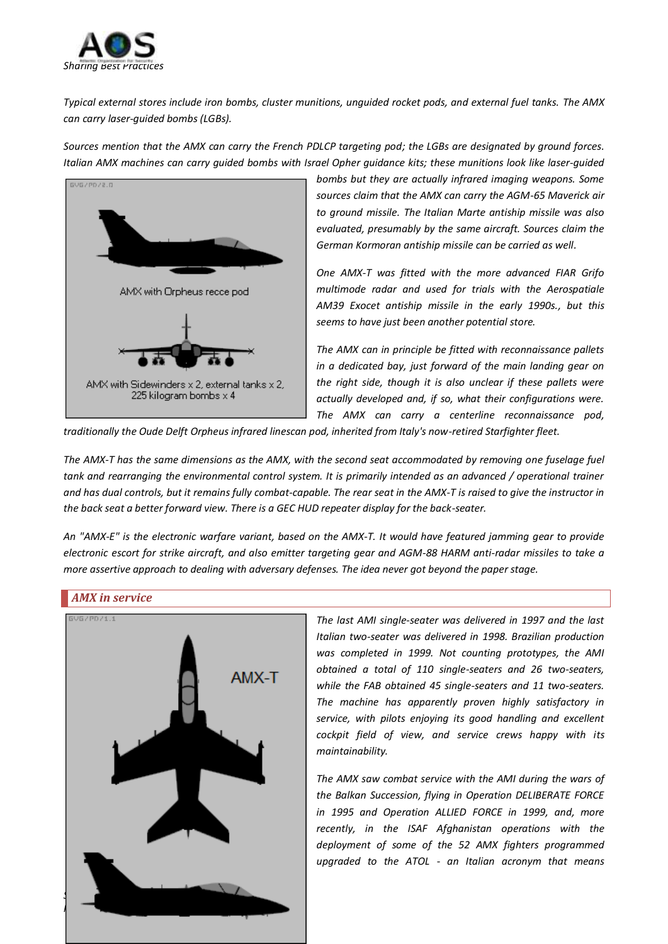

*Typical external stores include iron bombs, cluster munitions, unguided rocket pods, and external fuel tanks. The AMX can carry laser-guided bombs (LGBs).* 

*Sources mention that the AMX can carry the French PDLCP targeting pod; the LGBs are designated by ground forces. Italian AMX machines can carry guided bombs with Israel Opher guidance kits; these munitions look like laser-guided* 



*bombs but they are actually infrared imaging weapons. Some sources claim that the AMX can carry the AGM-65 Maverick air to ground missile. The Italian Marte antiship missile was also evaluated, presumably by the same aircraft. Sources claim the German Kormoran antiship missile can be carried as well.*

*One AMX-T was fitted with the more advanced FIAR Grifo multimode radar and used for trials with the Aerospatiale AM39 Exocet antiship missile in the early 1990s., but this seems to have just been another potential store.* 

*The AMX can in principle be fitted with reconnaissance pallets in a dedicated bay, just forward of the main landing gear on the right side, though it is also unclear if these pallets were actually developed and, if so, what their configurations were. The AMX can carry a centerline reconnaissance pod,* 

*traditionally the Oude Delft Orpheus infrared linescan pod, inherited from Italy's now-retired Starfighter fleet.* 

*The AMX-T has the same dimensions as the AMX, with the second seat accommodated by removing one fuselage fuel tank and rearranging the environmental control system. It is primarily intended as an advanced / operational trainer and has dual controls, but it remains fully combat-capable. The rear seat in the AMX-T is raised to give the instructor in the back seat a better forward view. There is a GEC HUD repeater display for the back-seater.* 

*An "AMX-E" is the electronic warfare variant, based on the AMX-T. It would have featured jamming gear to provide electronic escort for strike aircraft, and also emitter targeting gear and AGM-88 HARM anti-radar missiles to take a more assertive approach to dealing with adversary defenses. The idea never got beyond the paper stage.* 

#### <span id="page-5-0"></span>*AMX in service*



*The last AMI single-seater was delivered in 1997 and the last Italian two-seater was delivered in 1998. Brazilian production was completed in 1999. Not counting prototypes, the AMI obtained a total of 110 single-seaters and 26 two-seaters, while the FAB obtained 45 single-seaters and 11 two-seaters. The machine has apparently proven highly satisfactory in service, with pilots enjoying its good handling and excellent cockpit field of view, and service crews happy with its maintainability.* 

*The AMX saw combat service with the AMI during the wars of the Balkan Succession, flying in Operation DELIBERATE FORCE in 1995 and Operation ALLIED FORCE in 1999, and, more recently, in the ISAF Afghanistan operations with the deployment of some of the 52 AMX fighters programmed upgraded to the ATOL - an Italian acronym that means*